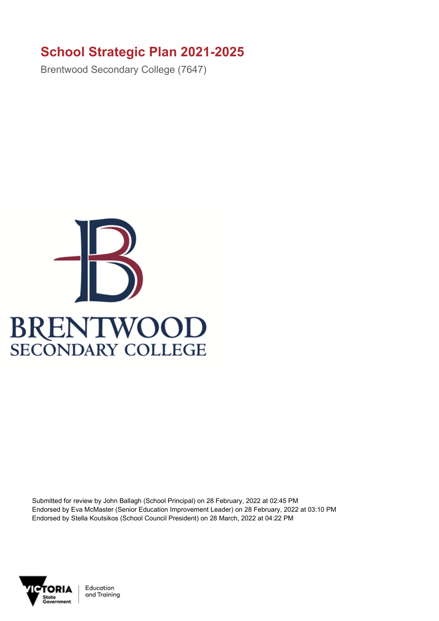## **School Strategic Plan 2021-2025**

Brentwood Secondary College (7647)



Submitted for review by John Ballagh (School Principal) on 28 February, 2022 at 02:45 PM Endorsed by Eva McMaster (Senior Education Improvement Leader) on 28 February, 2022 at 03:10 PM Endorsed by Stella Koutsikos (School Council President) on 28 March, 2022 at 04:22 PM



Education and Training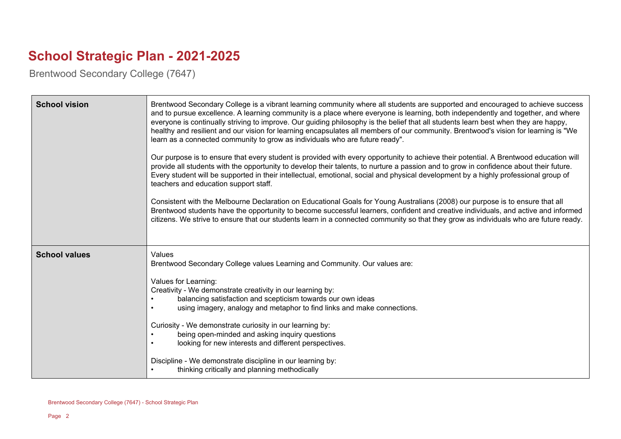## **School Strategic Plan - 2021-2025**

Brentwood Secondary College (7647)

| <b>School vision</b> | Brentwood Secondary College is a vibrant learning community where all students are supported and encouraged to achieve success<br>and to pursue excellence. A learning community is a place where everyone is learning, both independently and together, and where<br>everyone is continually striving to improve. Our guiding philosophy is the belief that all students learn best when they are happy,<br>healthy and resilient and our vision for learning encapsulates all members of our community. Brentwood's vision for learning is "We<br>learn as a connected community to grow as individuals who are future ready".<br>Our purpose is to ensure that every student is provided with every opportunity to achieve their potential. A Brentwood education will<br>provide all students with the opportunity to develop their talents, to nurture a passion and to grow in confidence about their future.<br>Every student will be supported in their intellectual, emotional, social and physical development by a highly professional group of<br>teachers and education support staff.<br>Consistent with the Melbourne Declaration on Educational Goals for Young Australians (2008) our purpose is to ensure that all<br>Brentwood students have the opportunity to become successful learners, confident and creative individuals, and active and informed<br>citizens. We strive to ensure that our students learn in a connected community so that they grow as individuals who are future ready. |
|----------------------|---------------------------------------------------------------------------------------------------------------------------------------------------------------------------------------------------------------------------------------------------------------------------------------------------------------------------------------------------------------------------------------------------------------------------------------------------------------------------------------------------------------------------------------------------------------------------------------------------------------------------------------------------------------------------------------------------------------------------------------------------------------------------------------------------------------------------------------------------------------------------------------------------------------------------------------------------------------------------------------------------------------------------------------------------------------------------------------------------------------------------------------------------------------------------------------------------------------------------------------------------------------------------------------------------------------------------------------------------------------------------------------------------------------------------------------------------------------------------------------------------------------------|
| <b>School values</b> | Values<br>Brentwood Secondary College values Learning and Community. Our values are:<br>Values for Learning:<br>Creativity - We demonstrate creativity in our learning by:<br>balancing satisfaction and scepticism towards our own ideas<br>using imagery, analogy and metaphor to find links and make connections.<br>Curiosity - We demonstrate curiosity in our learning by:<br>being open-minded and asking inquiry questions<br>looking for new interests and different perspectives.<br>Discipline - We demonstrate discipline in our learning by:<br>thinking critically and planning methodically                                                                                                                                                                                                                                                                                                                                                                                                                                                                                                                                                                                                                                                                                                                                                                                                                                                                                                          |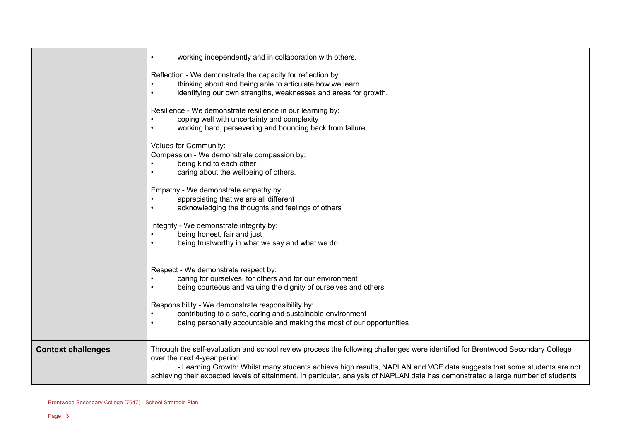|                           | working independently and in collaboration with others.<br>$\bullet$                                                                                                                                                                                                                                                                                                                                                         |
|---------------------------|------------------------------------------------------------------------------------------------------------------------------------------------------------------------------------------------------------------------------------------------------------------------------------------------------------------------------------------------------------------------------------------------------------------------------|
|                           | Reflection - We demonstrate the capacity for reflection by:<br>thinking about and being able to articulate how we learn<br>$\bullet$<br>identifying our own strengths, weaknesses and areas for growth.<br>$\bullet$                                                                                                                                                                                                         |
|                           | Resilience - We demonstrate resilience in our learning by:<br>coping well with uncertainty and complexity<br>$\bullet$<br>working hard, persevering and bouncing back from failure.<br>$\bullet$                                                                                                                                                                                                                             |
|                           | Values for Community:<br>Compassion - We demonstrate compassion by:<br>being kind to each other<br>$\bullet$<br>caring about the wellbeing of others.<br>$\bullet$                                                                                                                                                                                                                                                           |
|                           | Empathy - We demonstrate empathy by:<br>appreciating that we are all different<br>$\bullet$<br>acknowledging the thoughts and feelings of others<br>$\bullet$                                                                                                                                                                                                                                                                |
|                           | Integrity - We demonstrate integrity by:<br>being honest, fair and just<br>$\bullet$<br>being trustworthy in what we say and what we do<br>$\bullet$                                                                                                                                                                                                                                                                         |
|                           | Respect - We demonstrate respect by:<br>caring for ourselves, for others and for our environment<br>being courteous and valuing the dignity of ourselves and others<br>$\bullet$<br>Responsibility - We demonstrate responsibility by:<br>contributing to a safe, caring and sustainable environment<br>being personally accountable and making the most of our opportunities<br>$\bullet$                                   |
| <b>Context challenges</b> | Through the self-evaluation and school review process the following challenges were identified for Brentwood Secondary College<br>over the next 4-year period.<br>- Learning Growth: Whilst many students achieve high results, NAPLAN and VCE data suggests that some students are not<br>achieving their expected levels of attainment. In particular, analysis of NAPLAN data has demonstrated a large number of students |

 $\overline{\phantom{0}}$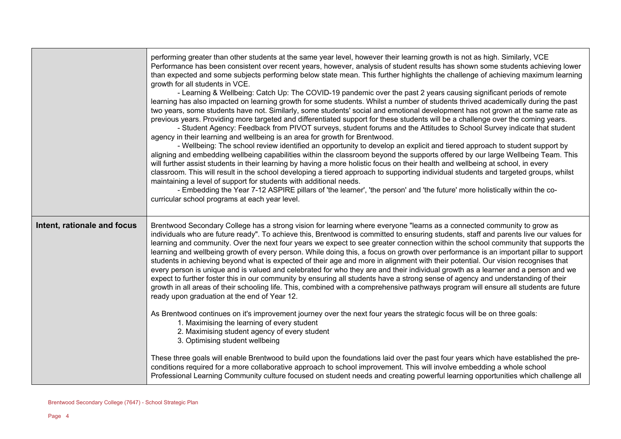|                             | performing greater than other students at the same year level, however their learning growth is not as high. Similarly, VCE<br>Performance has been consistent over recent years, however, analysis of student results has shown some students achieving lower<br>than expected and some subjects performing below state mean. This further highlights the challenge of achieving maximum learning<br>growth for all students in VCE.<br>- Learning & Wellbeing: Catch Up: The COVID-19 pandemic over the past 2 years causing significant periods of remote<br>learning has also impacted on learning growth for some students. Whilst a number of students thrived academically during the past<br>two years, some students have not. Similarly, some students' social and emotional development has not grown at the same rate as<br>previous years. Providing more targeted and differentiated support for these students will be a challenge over the coming years.<br>- Student Agency: Feedback from PIVOT surveys, student forums and the Attitudes to School Survey indicate that student<br>agency in their learning and wellbeing is an area for growth for Brentwood.<br>- Wellbeing: The school review identified an opportunity to develop an explicit and tiered approach to student support by<br>aligning and embedding wellbeing capabilities within the classroom beyond the supports offered by our large Wellbeing Team. This<br>will further assist students in their learning by having a more holistic focus on their health and wellbeing at school, in every<br>classroom. This will result in the school developing a tiered approach to supporting individual students and targeted groups, whilst<br>maintaining a level of support for students with additional needs.<br>- Embedding the Year 7-12 ASPIRE pillars of 'the learner', 'the person' and 'the future' more holistically within the co-<br>curricular school programs at each year level. |
|-----------------------------|-------------------------------------------------------------------------------------------------------------------------------------------------------------------------------------------------------------------------------------------------------------------------------------------------------------------------------------------------------------------------------------------------------------------------------------------------------------------------------------------------------------------------------------------------------------------------------------------------------------------------------------------------------------------------------------------------------------------------------------------------------------------------------------------------------------------------------------------------------------------------------------------------------------------------------------------------------------------------------------------------------------------------------------------------------------------------------------------------------------------------------------------------------------------------------------------------------------------------------------------------------------------------------------------------------------------------------------------------------------------------------------------------------------------------------------------------------------------------------------------------------------------------------------------------------------------------------------------------------------------------------------------------------------------------------------------------------------------------------------------------------------------------------------------------------------------------------------------------------------------------------------------------------------------------------------------------------------------------------------|
| Intent, rationale and focus | Brentwood Secondary College has a strong vision for learning where everyone "learns as a connected community to grow as<br>individuals who are future ready". To achieve this, Brentwood is committed to ensuring students, staff and parents live our values for<br>learning and community. Over the next four years we expect to see greater connection within the school community that supports the<br>learning and wellbeing growth of every person. While doing this, a focus on growth over performance is an important pillar to support<br>students in achieving beyond what is expected of their age and more in alignment with their potential. Our vision recognises that<br>every person is unique and is valued and celebrated for who they are and their individual growth as a learner and a person and we<br>expect to further foster this in our community by ensuring all students have a strong sense of agency and understanding of their<br>growth in all areas of their schooling life. This, combined with a comprehensive pathways program will ensure all students are future<br>ready upon graduation at the end of Year 12.<br>As Brentwood continues on it's improvement journey over the next four years the strategic focus will be on three goals:<br>1. Maximising the learning of every student<br>2. Maximising student agency of every student<br>3. Optimising student wellbeing<br>These three goals will enable Brentwood to build upon the foundations laid over the past four years which have established the pre-<br>conditions required for a more collaborative approach to school improvement. This will involve embedding a whole school<br>Professional Learning Community culture focused on student needs and creating powerful learning opportunities which challenge all                                                                                                                                                        |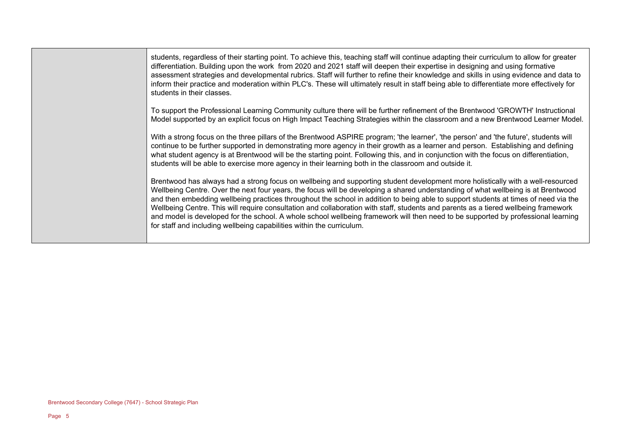students, regardless of their starting point. To achieve this, teaching staff will continue adapting their curriculum to allow for greater differentiation. Building upon the work from 2020 and 2021 staff will deepen their expertise in designing and using formative assessment strategies and developmental rubrics. Staff will further to refine their knowledge and skills in using evidence and data to inform their practice and moderation within PLC's. These will ultimately result in staff being able to differentiate more effectively for students in their classes.

To support the Professional Learning Community culture there will be further refinement of the Brentwood 'GROWTH' Instructional Model supported by an explicit focus on High Impact Teaching Strategies within the classroom and a new Brentwood Learner Model.

With a strong focus on the three pillars of the Brentwood ASPIRE program; 'the learner', 'the person' and 'the future', students will continue to be further supported in demonstrating more agency in their growth as a learner and person. Establishing and defining what student agency is at Brentwood will be the starting point. Following this, and in conjunction with the focus on differentiation, students will be able to exercise more agency in their learning both in the classroom and outside it.

Brentwood has always had a strong focus on wellbeing and supporting student development more holistically with a well-resourced Wellbeing Centre. Over the next four years, the focus will be developing a shared understanding of what wellbeing is at Brentwood and then embedding wellbeing practices throughout the school in addition to being able to support students at times of need via the Wellbeing Centre. This will require consultation and collaboration with staff, students and parents as a tiered wellbeing framework and model is developed for the school. A whole school wellbeing framework will then need to be supported by professional learning for staff and including wellbeing capabilities within the curriculum.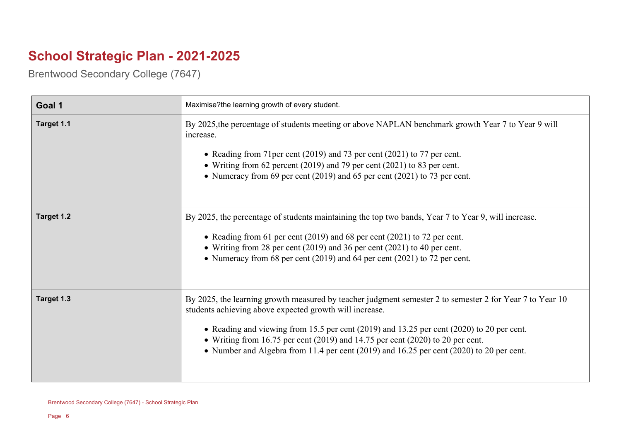## **School Strategic Plan - 2021-2025**

Brentwood Secondary College (7647)

| Goal 1     | Maximise?the learning growth of every student.                                                                                                                                                                                                                                                                                                                                                                                                 |
|------------|------------------------------------------------------------------------------------------------------------------------------------------------------------------------------------------------------------------------------------------------------------------------------------------------------------------------------------------------------------------------------------------------------------------------------------------------|
| Target 1.1 | By 2025, the percentage of students meeting or above NAPLAN benchmark growth Year 7 to Year 9 will<br>increase.<br>• Reading from 71 per cent (2019) and 73 per cent (2021) to 77 per cent.<br>• Writing from 62 percent (2019) and 79 per cent (2021) to 83 per cent.<br>• Numeracy from 69 per cent (2019) and 65 per cent (2021) to 73 per cent.                                                                                            |
| Target 1.2 | By 2025, the percentage of students maintaining the top two bands, Year 7 to Year 9, will increase.<br>• Reading from 61 per cent (2019) and 68 per cent (2021) to 72 per cent.<br>• Writing from 28 per cent (2019) and 36 per cent (2021) to 40 per cent.<br>• Numeracy from 68 per cent (2019) and 64 per cent (2021) to 72 per cent.                                                                                                       |
| Target 1.3 | By 2025, the learning growth measured by teacher judgment semester 2 to semester 2 for Year 7 to Year 10<br>students achieving above expected growth will increase.<br>• Reading and viewing from 15.5 per cent (2019) and 13.25 per cent (2020) to 20 per cent.<br>• Writing from 16.75 per cent (2019) and 14.75 per cent (2020) to 20 per cent.<br>• Number and Algebra from 11.4 per cent (2019) and 16.25 per cent (2020) to 20 per cent. |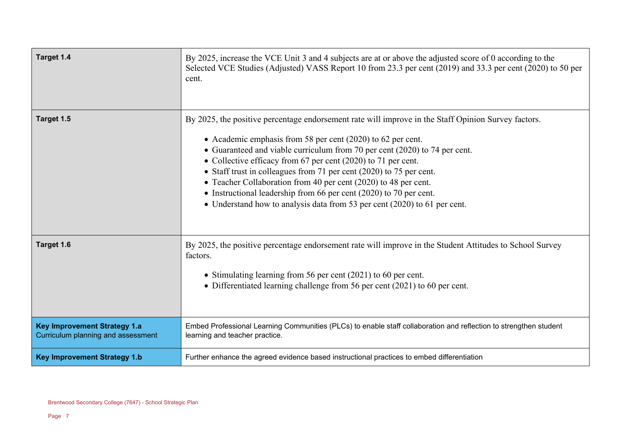| Target 1.4                                                                | By 2025, increase the VCE Unit 3 and 4 subjects are at or above the adjusted score of 0 according to the<br>Selected VCE Studies (Adjusted) VASS Report 10 from 23.3 per cent (2019) and 33.3 per cent (2020) to 50 per<br>cent.                                                                                                                                                                                                                                                                                                                                                                               |
|---------------------------------------------------------------------------|----------------------------------------------------------------------------------------------------------------------------------------------------------------------------------------------------------------------------------------------------------------------------------------------------------------------------------------------------------------------------------------------------------------------------------------------------------------------------------------------------------------------------------------------------------------------------------------------------------------|
| Target 1.5                                                                | By 2025, the positive percentage endorsement rate will improve in the Staff Opinion Survey factors.<br>• Academic emphasis from 58 per cent (2020) to 62 per cent.<br>• Guaranteed and viable curriculum from 70 per cent (2020) to 74 per cent.<br>• Collective efficacy from 67 per cent (2020) to 71 per cent.<br>• Staff trust in colleagues from 71 per cent (2020) to 75 per cent.<br>• Teacher Collaboration from 40 per cent (2020) to 48 per cent.<br>• Instructional leadership from 66 per cent (2020) to 70 per cent.<br>• Understand how to analysis data from 53 per cent (2020) to 61 per cent. |
| Target 1.6                                                                | By 2025, the positive percentage endorsement rate will improve in the Student Attitudes to School Survey<br>factors.<br>• Stimulating learning from 56 per cent (2021) to 60 per cent.<br>• Differentiated learning challenge from 56 per cent (2021) to 60 per cent.                                                                                                                                                                                                                                                                                                                                          |
| <b>Key Improvement Strategy 1.a</b><br>Curriculum planning and assessment | Embed Professional Learning Communities (PLCs) to enable staff collaboration and reflection to strengthen student<br>learning and teacher practice.                                                                                                                                                                                                                                                                                                                                                                                                                                                            |
| <b>Key Improvement Strategy 1.b</b>                                       | Further enhance the agreed evidence based instructional practices to embed differentiation                                                                                                                                                                                                                                                                                                                                                                                                                                                                                                                     |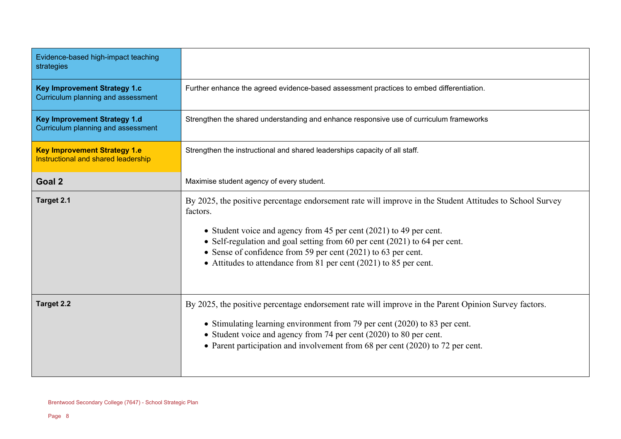| Evidence-based high-impact teaching<br>strategies                          |                                                                                                                                                                                                                                                                                                                                                                                                                |
|----------------------------------------------------------------------------|----------------------------------------------------------------------------------------------------------------------------------------------------------------------------------------------------------------------------------------------------------------------------------------------------------------------------------------------------------------------------------------------------------------|
| <b>Key Improvement Strategy 1.c</b><br>Curriculum planning and assessment  | Further enhance the agreed evidence-based assessment practices to embed differentiation.                                                                                                                                                                                                                                                                                                                       |
| <b>Key Improvement Strategy 1.d</b><br>Curriculum planning and assessment  | Strengthen the shared understanding and enhance responsive use of curriculum frameworks                                                                                                                                                                                                                                                                                                                        |
| <b>Key Improvement Strategy 1.e</b><br>Instructional and shared leadership | Strengthen the instructional and shared leaderships capacity of all staff.                                                                                                                                                                                                                                                                                                                                     |
| Goal 2                                                                     | Maximise student agency of every student.                                                                                                                                                                                                                                                                                                                                                                      |
| Target 2.1                                                                 | By 2025, the positive percentage endorsement rate will improve in the Student Attitudes to School Survey<br>factors.<br>• Student voice and agency from 45 per cent (2021) to 49 per cent.<br>• Self-regulation and goal setting from 60 per cent (2021) to 64 per cent.<br>• Sense of confidence from 59 per cent (2021) to 63 per cent.<br>• Attitudes to attendance from 81 per cent (2021) to 85 per cent. |
| <b>Target 2.2</b>                                                          | By 2025, the positive percentage endorsement rate will improve in the Parent Opinion Survey factors.<br>• Stimulating learning environment from 79 per cent (2020) to 83 per cent.<br>• Student voice and agency from 74 per cent (2020) to 80 per cent.<br>• Parent participation and involvement from 68 per cent (2020) to 72 per cent.                                                                     |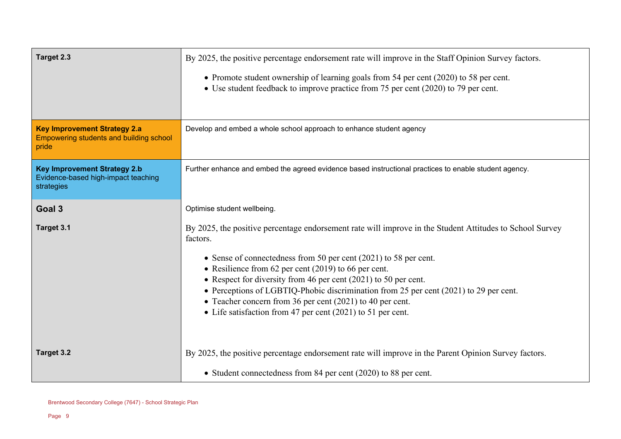| Target 2.3                                                                                     | By 2025, the positive percentage endorsement rate will improve in the Staff Opinion Survey factors.<br>• Promote student ownership of learning goals from 54 per cent (2020) to 58 per cent.<br>• Use student feedback to improve practice from 75 per cent (2020) to 79 per cent.                                                                                                                                                                                                                                                           |
|------------------------------------------------------------------------------------------------|----------------------------------------------------------------------------------------------------------------------------------------------------------------------------------------------------------------------------------------------------------------------------------------------------------------------------------------------------------------------------------------------------------------------------------------------------------------------------------------------------------------------------------------------|
| <b>Key Improvement Strategy 2.a</b><br><b>Empowering students and building school</b><br>pride | Develop and embed a whole school approach to enhance student agency                                                                                                                                                                                                                                                                                                                                                                                                                                                                          |
| <b>Key Improvement Strategy 2.b</b><br>Evidence-based high-impact teaching<br>strategies       | Further enhance and embed the agreed evidence based instructional practices to enable student agency.                                                                                                                                                                                                                                                                                                                                                                                                                                        |
| Goal 3                                                                                         | Optimise student wellbeing.                                                                                                                                                                                                                                                                                                                                                                                                                                                                                                                  |
| Target 3.1                                                                                     | By 2025, the positive percentage endorsement rate will improve in the Student Attitudes to School Survey<br>factors.<br>• Sense of connectedness from 50 per cent $(2021)$ to 58 per cent.<br>• Resilience from 62 per cent (2019) to 66 per cent.<br>• Respect for diversity from 46 per cent $(2021)$ to 50 per cent.<br>• Perceptions of LGBTIQ-Phobic discrimination from 25 per cent (2021) to 29 per cent.<br>• Teacher concern from 36 per cent (2021) to 40 per cent.<br>• Life satisfaction from 47 per cent (2021) to 51 per cent. |
| Target 3.2                                                                                     | By 2025, the positive percentage endorsement rate will improve in the Parent Opinion Survey factors.                                                                                                                                                                                                                                                                                                                                                                                                                                         |
|                                                                                                | • Student connectedness from 84 per cent (2020) to 88 per cent.                                                                                                                                                                                                                                                                                                                                                                                                                                                                              |